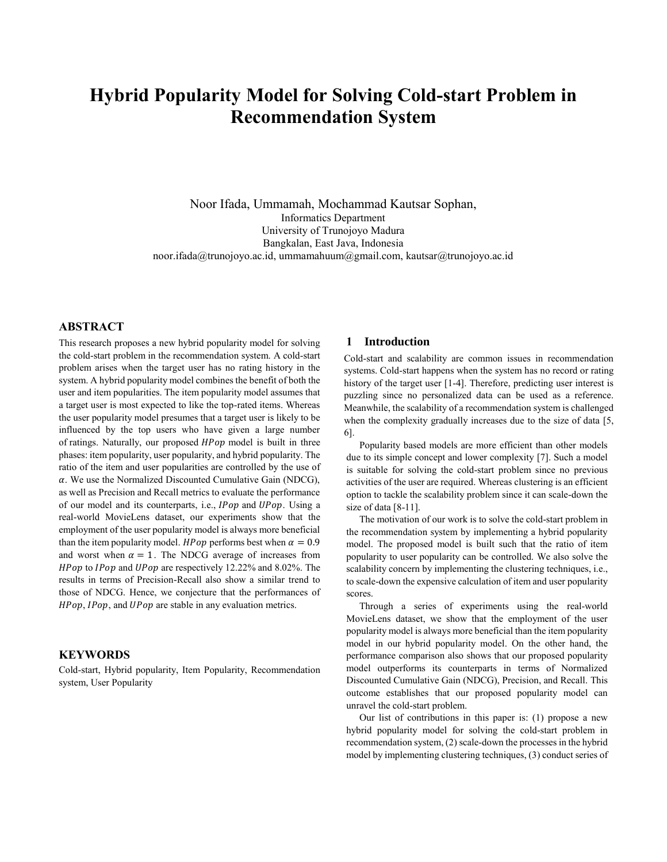# **Hybrid Popularity Model for Solving Cold-start Problem in Recommendation System**

Noor Ifada, Ummamah, Mochammad Kautsar Sophan, Informatics Department University of Trunojoyo Madura Bangkalan, East Java, Indonesia noor.ifada@trunojoyo.ac.id, ummamahuum@gmail.com, kautsar@trunojoyo.ac.id

# **ABSTRACT**

This research proposes a new hybrid popularity model for solving the cold-start problem in the recommendation system. A cold-start problem arises when the target user has no rating history in the system. A hybrid popularity model combines the benefit of both the user and item popularities. The item popularity model assumes that a target user is most expected to like the top-rated items. Whereas the user popularity model presumes that a target user is likely to be influenced by the top users who have given a large number of ratings. Naturally, our proposed  $HPop$  model is built in three phases: item popularity, user popularity, and hybrid popularity. The ratio of the item and user popularities are controlled by the use of  $\alpha$ . We use the Normalized Discounted Cumulative Gain (NDCG), as well as Precision and Recall metrics to evaluate the performance of our model and its counterparts, i.e., *IPop* and *UPop*. Using a real-world MovieLens dataset, our experiments show that the employment of the user popularity model is always more beneficial than the item popularity model. *HPop* performs best when  $\alpha = 0.9$ and worst when  $\alpha = 1$ . The NDCG average of increases from  $HPop$  to  $IPop$  and  $UPop$  are respectively 12.22% and 8.02%. The results in terms of Precision-Recall also show a similar trend to those of NDCG. Hence, we conjecture that the performances of  $HPop$ ,  $IPop$ , and  $UPop$  are stable in any evaluation metrics.

## **KEYWORDS**

Cold-start, Hybrid popularity, Item Popularity, Recommendation system, User Popularity

# **1 Introduction**

Cold-start and scalability are common issues in recommendation systems. Cold-start happens when the system has no record or rating history of the target user [1-4]. Therefore, predicting user interest is puzzling since no personalized data can be used as a reference. Meanwhile, the scalability of a recommendation system is challenged when the complexity gradually increases due to the size of data [5, 6].

Popularity based models are more efficient than other models due to its simple concept and lower complexity [7]. Such a model is suitable for solving the cold-start problem since no previous activities of the user are required. Whereas clustering is an efficient option to tackle the scalability problem since it can scale-down the size of data [8-11].

The motivation of our work is to solve the cold-start problem in the recommendation system by implementing a hybrid popularity model. The proposed model is built such that the ratio of item popularity to user popularity can be controlled. We also solve the scalability concern by implementing the clustering techniques, i.e., to scale-down the expensive calculation of item and user popularity scores.

Through a series of experiments using the real-world MovieLens dataset, we show that the employment of the user popularity model is always more beneficial than the item popularity model in our hybrid popularity model. On the other hand, the performance comparison also shows that our proposed popularity model outperforms its counterparts in terms of Normalized Discounted Cumulative Gain (NDCG), Precision, and Recall. This outcome establishes that our proposed popularity model can unravel the cold-start problem.

Our list of contributions in this paper is: (1) propose a new hybrid popularity model for solving the cold-start problem in recommendation system, (2) scale-down the processes in the hybrid model by implementing clustering techniques, (3) conduct series of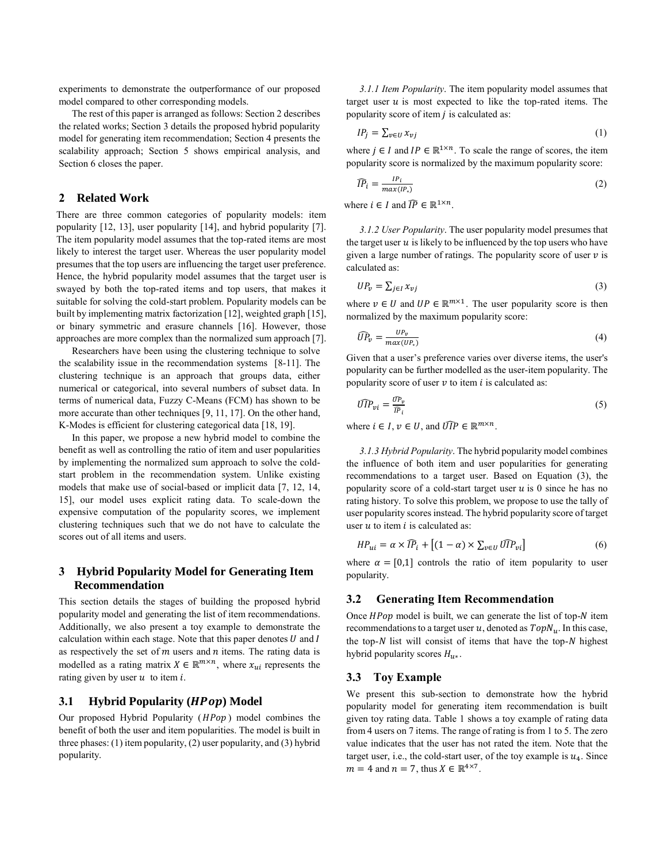experiments to demonstrate the outperformance of our proposed model compared to other corresponding models.

The rest of this paper is arranged as follows: Section 2 describes the related works; Section 3 details the proposed hybrid popularity model for generating item recommendation; Section 4 presents the scalability approach; Section 5 shows empirical analysis, and Section 6 closes the paper.

# **2 Related Work**

There are three common categories of popularity models: item popularity [12, 13], user popularity [14], and hybrid popularity [7]. The item popularity model assumes that the top-rated items are most likely to interest the target user. Whereas the user popularity model presumes that the top users are influencing the target user preference. Hence, the hybrid popularity model assumes that the target user is swayed by both the top-rated items and top users, that makes it suitable for solving the cold-start problem. Popularity models can be built by implementing matrix factorization [12], weighted graph [15], or binary symmetric and erasure channels [16]. However, those approaches are more complex than the normalized sum approach [7].

Researchers have been using the clustering technique to solve the scalability issue in the recommendation systems [8-11]. The clustering technique is an approach that groups data, either numerical or categorical, into several numbers of subset data. In terms of numerical data, Fuzzy C-Means (FCM) has shown to be more accurate than other techniques [9, 11, 17]. On the other hand, K-Modes is efficient for clustering categorical data [18, 19].

In this paper, we propose a new hybrid model to combine the benefit as well as controlling the ratio of item and user popularities by implementing the normalized sum approach to solve the coldstart problem in the recommendation system. Unlike existing models that make use of social-based or implicit data [7, 12, 14, 15], our model uses explicit rating data. To scale-down the expensive computation of the popularity scores, we implement clustering techniques such that we do not have to calculate the scores out of all items and users.

# **3 Hybrid Popularity Model for Generating Item Recommendation**

This section details the stages of building the proposed hybrid popularity model and generating the list of item recommendations. Additionally, we also present a toy example to demonstrate the calculation within each stage. Note that this paper denotes  $U$  and  $I$ as respectively the set of  $m$  users and  $n$  items. The rating data is modelled as a rating matrix  $X \in \mathbb{R}^{m \times n}$ , where  $x_{ui}$  represents the rating given by user  $u$  to item  $i$ .

# **3.1 • Hybrid Popularity (***HPop***) Model**

Our proposed Hybrid Popularity  $(HPop)$  model combines the benefit of both the user and item popularities. The model is built in three phases: (1) item popularity, (2) user popularity, and (3) hybrid popularity.

*3.1.1 Item Popularity*. The item popularity model assumes that target user  $u$  is most expected to like the top-rated items. The popularity score of item  $j$  is calculated as:

$$
IP_j = \sum_{v \in U} x_{vj} \tag{1}
$$

where  $j \in I$  and  $IP \in \mathbb{R}^{1 \times n}$ . To scale the range of scores, the item popularity score is normalized by the maximum popularity score:

$$
\widehat{IP}_i = \frac{IP_i}{max(IP_*)} \tag{2}
$$

where  $i \in I$  and  $\widehat{IP} \in \mathbb{R}^{1 \times n}$ .

*3.1.2 User Popularity*. The user popularity model presumes that the target user  $u$  is likely to be influenced by the top users who have given a large number of ratings. The popularity score of user  $\nu$  is calculated as:

$$
UP_v = \sum_{j \in I} x_{vj} \tag{3}
$$

where  $v \in U$  and  $UP \in \mathbb{R}^{m \times 1}$ . The user popularity score is then normalized by the maximum popularity score:

$$
\widehat{UP}_v = \frac{UP_v}{max(UP_*)} \tag{4}
$$

Given that a user's preference varies over diverse items, the user's popularity can be further modelled as the user-item popularity. The popularity score of user  $\nu$  to item  $i$  is calculated as:

$$
\widehat{UP}_{vi} = \frac{\widehat{UP}_v}{\widehat{IP}_i} \tag{5}
$$

where  $i \in I$ ,  $v \in U$ , and  $\widehat{UIP} \in \mathbb{R}^{m \times n}$ .

*3.1.3 Hybrid Popularity*. The hybrid popularity model combines the influence of both item and user popularities for generating recommendations to a target user. Based on Equation (3), the popularity score of a cold-start target user  $u$  is 0 since he has no rating history. To solve this problem, we propose to use the tally of user popularity scores instead. The hybrid popularity score of target user  $u$  to item  $i$  is calculated as:

$$
HP_{ui} = \alpha \times \widehat{IP}_i + \left[ (1 - \alpha) \times \sum_{v \in U} \widehat{UP}_{vi} \right] \tag{6}
$$

where  $\alpha = [0,1]$  controls the ratio of item popularity to user popularity.

## **3.2 Generating Item Recommendation**

Once  $HPop$  model is built, we can generate the list of top-N item recommendations to a target user u, denoted as  $TopN_u$ . In this case, the top- $N$  list will consist of items that have the top- $N$  highest hybrid popularity scores  $H_{u^*}.$ 

## **3.3 Toy Example**

We present this sub-section to demonstrate how the hybrid popularity model for generating item recommendation is built given toy rating data. [Table 1](#page-2-0) shows a toy example of rating data from 4 users on 7 items. The range of rating is from 1 to 5. The zero value indicates that the user has not rated the item. Note that the target user, i.e., the cold-start user, of the toy example is  $u_4$ . Since  $m = 4$  and  $n = 7$ , thus  $X \in \mathbb{R}^{4 \times 7}$ .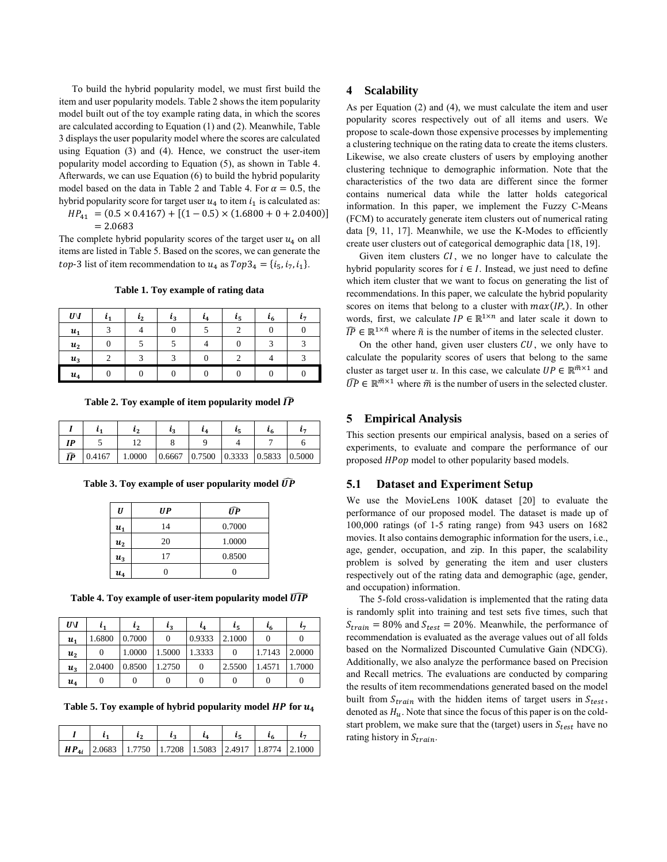To build the hybrid popularity model, we must first build the item and user popularity models. [Table 2](#page-2-1) shows the item popularity model built out of the toy example rating data, in which the scores are calculated according to Equation (1) and (2). Meanwhile[, Table](#page-2-2)  [3](#page-2-2) displays the user popularity model where the scores are calculated using Equation (3) and (4). Hence, we construct the user-item popularity model according to Equation (5), as shown in [Table 4.](#page-2-3) Afterwards, we can use Equation (6) to build the hybrid popularity model based on the data in [Table 2](#page-2-1) and [Table 4.](#page-2-3) For  $\alpha = 0.5$ , the hybrid popularity score for target user  $u_4$  to item  $i_1$  is calculated as:

$$
HP_{41} = (0.5 \times 0.4167) + [(1 - 0.5) \times (1.6800 + 0 + 2.0400)]
$$
  
= 2.0683

The complete hybrid popularity scores of the target user  $u_4$  on all items are listed i[n Table 5.](#page-2-4) Based on the scores, we can generate the *top*-3 list of item recommendation to  $u_4$  as  $Top3_4 = \{i_5, i_7, i_1\}.$ 

**Table 1. Toy example of rating data**

<span id="page-2-0"></span>

| $U\backslash I$ |   | $\mathbf{r}_{2}$ | ιz | ι4 | ι5 | ι6 |  |
|-----------------|---|------------------|----|----|----|----|--|
| $u_1$           | ◠ |                  |    |    |    |    |  |
| $u_2$           |   |                  |    |    |    |    |  |
| $u_3$           |   |                  |    |    |    |    |  |
| $u_4$           |   |                  |    |    |    |    |  |

<span id="page-2-1"></span>Table 2. Toy example of item popularity model  $\widehat{IP}$ 

|     |                                                                                              | L A |  |  |
|-----|----------------------------------------------------------------------------------------------|-----|--|--|
| I D |                                                                                              |     |  |  |
| ÎP  | $\vert 0.4167 \vert 1.0000 \vert 0.6667 \vert 0.7500 \vert 0.3333 \vert 0.5833 \vert 0.5000$ |     |  |  |

<span id="page-2-2"></span>Table 3. Toy example of user popularity model  $\widehat{UP}$ 

| U       | UP | ÚР     |
|---------|----|--------|
| $u_1$   | 14 | 0.7000 |
| $u_{2}$ | 20 | 1.0000 |
| $u_3$   | 17 | 0.8500 |
| $u_4$   |    |        |

<span id="page-2-3"></span>Table 4. Toy example of user-item popularity model  $\widehat{UP}$ 

| $U\backslash I$ | $\mathbf{r}_{1}$ | $l_2$  | $\iota_3$ | i4     | lς     | $l_{6}$ | l7     |
|-----------------|------------------|--------|-----------|--------|--------|---------|--------|
| $u_1$           | 1.6800           | 0.7000 | 0         | 0.9333 | 2.1000 |         |        |
| $u_{2}$         |                  | 1.0000 | 1.5000    | 1.3333 | 0      | 1.7143  | 2.0000 |
| $u_3$           | 2.0400           | 0.8500 | 1.2750    | 0      | 2.5500 | 1.4571  | 1.7000 |
| $u_4$           |                  |        |           |        |        |         |        |

<span id="page-2-4"></span>Table 5. Toy example of hybrid popularity model  $HP$  for  $u_4$ 

|  |                                                            | $\iota$ |  |  |
|--|------------------------------------------------------------|---------|--|--|
|  | $HP_{4i}$ 2.0683 1.7750 1.7208 1.5083 2.4917 1.8774 2.1000 |         |  |  |

#### **4 Scalability**

As per Equation (2) and (4), we must calculate the item and user popularity scores respectively out of all items and users. We propose to scale-down those expensive processes by implementing a clustering technique on the rating data to create the items clusters. Likewise, we also create clusters of users by employing another clustering technique to demographic information. Note that the characteristics of the two data are different since the former contains numerical data while the latter holds categorical information. In this paper, we implement the Fuzzy C-Means (FCM) to accurately generate item clusters out of numerical rating data [9, 11, 17]. Meanwhile, we use the K-Modes to efficiently create user clusters out of categorical demographic data [18, 19].

Given item clusters  $CI$ , we no longer have to calculate the hybrid popularity scores for  $i \in I$ . Instead, we just need to define which item cluster that we want to focus on generating the list of recommendations. In this paper, we calculate the hybrid popularity scores on items that belong to a cluster with  $max(IP_*)$ . In other words, first, we calculate  $IP \in \mathbb{R}^{1 \times n}$  and later scale it down to  $\widehat{IP} \in \mathbb{R}^{1 \times \tilde{n}}$  where  $\tilde{n}$  is the number of items in the selected cluster.

On the other hand, given user clusters  $CU$ , we only have to calculate the popularity scores of users that belong to the same cluster as target user u. In this case, we calculate  $UP \in \mathbb{R}^{\tilde{m} \times 1}$  and  $\widehat{UP} \in \mathbb{R}^{\tilde{m} \times 1}$  where  $\tilde{m}$  is the number of users in the selected cluster.

## **5 Empirical Analysis**

This section presents our empirical analysis, based on a series of experiments, to evaluate and compare the performance of our proposed HPop model to other popularity based models.

## **5.1 Dataset and Experiment Setup**

We use the MovieLens 100K dataset [20] to evaluate the performance of our proposed model. The dataset is made up of 100,000 ratings (of 1-5 rating range) from 943 users on 1682 movies. It also contains demographic information for the users, i.e., age, gender, occupation, and zip. In this paper, the scalability problem is solved by generating the item and user clusters respectively out of the rating data and demographic (age, gender, and occupation) information.

The 5-fold cross-validation is implemented that the rating data is randomly split into training and test sets five times, such that  $S_{train} = 80\%$  and  $S_{test} = 20\%$ . Meanwhile, the performance of recommendation is evaluated as the average values out of all folds based on the Normalized Discounted Cumulative Gain (NDCG). Additionally, we also analyze the performance based on Precision and Recall metrics. The evaluations are conducted by comparing the results of item recommendations generated based on the model built from  $S_{train}$  with the hidden items of target users in  $S_{test}$ , denoted as  $H_u$ . Note that since the focus of this paper is on the coldstart problem, we make sure that the (target) users in  $S_{test}$  have no rating history in  $S_{train}$ .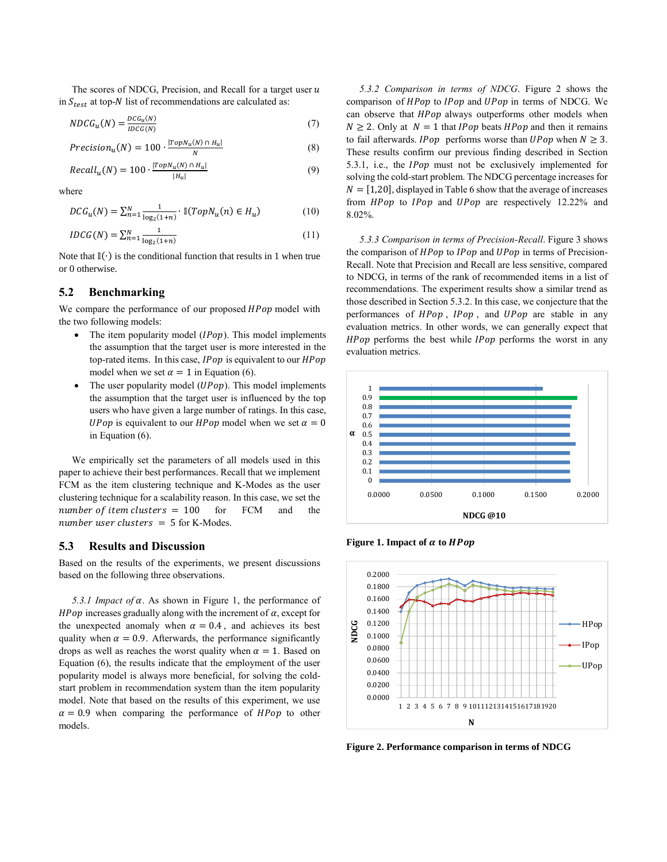The scores of NDCG, Precision, and Recall for a target user  $u$ in  $S_{test}$  at top-N list of recommendations are calculated as:

$$
NDCG_u(N) = \frac{DCG_u(N)}{IDCG(N)}\tag{7}
$$

$$
Precision_u(N) = 100 \cdot \frac{|TopN_u(N) \cap H_u|}{N}
$$
(8)

$$
Recall_u(N) = 100 \cdot \frac{|topN_u(N) \cap H_u|}{|H_u|} \tag{9}
$$

where

$$
DCG_u(N) = \sum_{n=1}^{N} \frac{1}{\log_2(1+n)} \cdot \mathbb{I}(TopN_u(n) \in H_u)
$$
 (10)

$$
IDCG(N) = \sum_{n=1}^{N} \frac{1}{\log_2(1+n)}\tag{11}
$$

Note that  $\mathbb{I}(\cdot)$  is the conditional function that results in 1 when true or 0 otherwise.

# **5.2 Benchmarking**

We compare the performance of our proposed HPop model with the two following models:

- The item popularity model  $(IPop)$ . This model implements the assumption that the target user is more interested in the top-rated items. In this case,  $IPop$  is equivalent to our  $HPop$ model when we set  $\alpha = 1$  in Equation (6).
- The user popularity model  $(UPon)$ . This model implements the assumption that the target user is influenced by the top users who have given a large number of ratings. In this case, *UPop* is equivalent to our *HPop* model when we set  $\alpha = 0$ in Equation (6).

We empirically set the parameters of all models used in this paper to achieve their best performances. Recall that we implement FCM as the item clustering technique and K-Modes as the user clustering technique for a scalability reason. In this case, we set the number of item clusters  $= 100$  for FCM and the number user clusters  $= 5$  for K-Modes.

## **5.3 Results and Discussion**

Based on the results of the experiments, we present discussions based on the following three observations.

5.3.1 *Impact of*  $\alpha$ *.* As shown in [Figure 1,](#page-3-0) the performance of HPop increases gradually along with the increment of  $\alpha$ , except for the unexpected anomaly when  $\alpha = 0.4$ , and achieves its best quality when  $\alpha = 0.9$ . Afterwards, the performance significantly drops as well as reaches the worst quality when  $\alpha = 1$ . Based on Equation (6), the results indicate that the employment of the user popularity model is always more beneficial, for solving the coldstart problem in recommendation system than the item popularity model. Note that based on the results of this experiment, we use  $\alpha = 0.9$  when comparing the performance of *HPop* to other models.

*5.3.2 Comparison in terms of NDCG*. [Figure 2](#page-3-1) shows the comparison of HPop to IPop and UPop in terms of NDCG. We can observe that HPop always outperforms other models when  $N \ge 2$ . Only at  $N = 1$  that *IPop* beats *HPop* and then it remains to fail afterwards. *IPop* performs worse than *UPop* when  $N \geq 3$ . These results confirm our previous finding described in Section 5.3.1, i.e., the  $IPop$  must not be exclusively implemented for solving the cold-start problem. The NDCG percentage increases for  $N = [1,20]$ , displayed i[n Table 6](#page-4-0) show that the average of increases from HPop to IPop and UPop are respectively 12.22% and 8.02%.

*5.3.3 Comparison in terms of Precision-Recall*. [Figure 3](#page-4-1) shows the comparison of  $HPop$  to  $IPop$  and  $UPop$  in terms of Precision-Recall. Note that Precision and Recall are less sensitive, compared to NDCG, in terms of the rank of recommended items in a list of recommendations. The experiment results show a similar trend as those described in Section 5.3.2. In this case, we conjecture that the performances of HPop, IPop, and UPop are stable in any evaluation metrics. In other words, we can generally expect that  $HPop$  performs the best while  $IPop$  performs the worst in any evaluation metrics.



<span id="page-3-0"></span>**Figure 1. Impact of**  $\alpha$  **to** *HPop* 



<span id="page-3-1"></span>**Figure 2. Performance comparison in terms of NDCG**